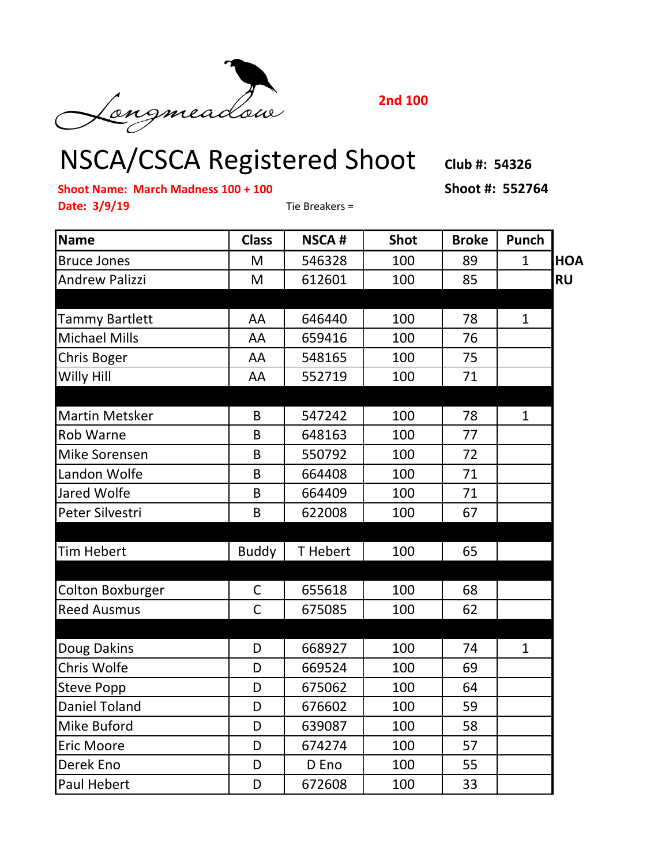

**2nd 100**

## NSCA/CSCA Registered Shoot **Club #: 54326**

**Shoot Name: March Madness 100 + 100 Shoot #: 552764**

**Date: 3/9/19** Tie Breakers =

| <b>Name</b>             | <b>Class</b> | <b>NSCA#</b> | <b>Shot</b> | <b>Broke</b> | <b>Punch</b> |            |
|-------------------------|--------------|--------------|-------------|--------------|--------------|------------|
| <b>Bruce Jones</b>      | M            | 546328       | 100         | 89           | $\mathbf{1}$ | <b>HOA</b> |
| <b>Andrew Palizzi</b>   | M            | 612601       | 100         | 85           |              | <b>RU</b>  |
|                         |              |              |             |              |              |            |
| Tammy Bartlett          | AA           | 646440       | 100         | 78           | $\mathbf{1}$ |            |
| <b>Michael Mills</b>    | AA           | 659416       | 100         | 76           |              |            |
| Chris Boger             | AA           | 548165       | 100         | 75           |              |            |
| Willy Hill              | AA           | 552719       | 100         | 71           |              |            |
|                         |              |              |             |              |              |            |
| <b>Martin Metsker</b>   | B            | 547242       | 100         | 78           | $\mathbf{1}$ |            |
| <b>Rob Warne</b>        | B            | 648163       | 100         | 77           |              |            |
| <b>Mike Sorensen</b>    | B            | 550792       | 100         | 72           |              |            |
| Landon Wolfe            | B            | 664408       | 100         | 71           |              |            |
| Jared Wolfe             | B            | 664409       | 100         | 71           |              |            |
| Peter Silvestri         | B            | 622008       | 100         | 67           |              |            |
| <b>Tim Hebert</b>       | <b>Buddy</b> | T Hebert     | 100         | 65           |              |            |
| <b>Colton Boxburger</b> | $\mathsf{C}$ | 655618       | 100         | 68           |              |            |
| <b>Reed Ausmus</b>      | $\mathsf{C}$ | 675085       | 100         | 62           |              |            |
|                         |              |              |             |              |              |            |
| Doug Dakins             | D            | 668927       | 100         | 74           | $\mathbf{1}$ |            |
| Chris Wolfe             | D            | 669524       | 100         | 69           |              |            |
| <b>Steve Popp</b>       | D            | 675062       | 100         | 64           |              |            |
| <b>Daniel Toland</b>    | D            | 676602       | 100         | 59           |              |            |
| Mike Buford             | D            | 639087       | 100         | 58           |              |            |
| <b>Eric Moore</b>       | D            | 674274       | 100         | 57           |              |            |
| Derek Eno               | D            | D Eno        | 100         | 55           |              |            |
| <b>Paul Hebert</b>      | D            | 672608       | 100         | 33           |              |            |